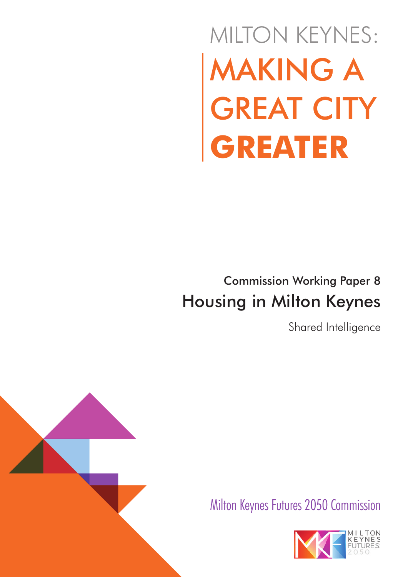# MAKING A GREAT CITY **GREATER** MILTON KEYNES:

## Commission Working Paper 8 Housing in Milton Keynes

Shared Intelligence



Milton Keynes Futures 2050 Commission

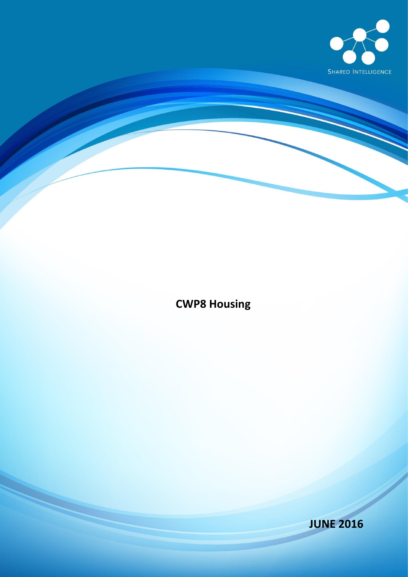

### **CWP8 Housing**

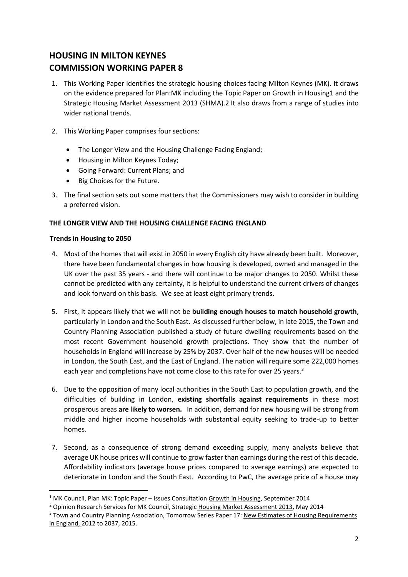#### **HOUSING IN MILTON KEYNES COMMISSION WORKING PAPER 8**

- 1. This Working Paper identifies the strategic housing choices facing Milton Keynes (MK). It draws on the evidence prepared for Plan:MK including the Topic Paper on Growth in Housing1 and the Strategic Housing Market Assessment 2013 (SHMA).2 It also draws from a range of studies into wider national trends.
- 2. This Working Paper comprises four sections:
	- The Longer View and the Housing Challenge Facing England;
	- Housing in Milton Keynes Today;
	- Going Forward: Current Plans; and
	- Big Choices for the Future.
- 3. The final section sets out some matters that the Commissioners may wish to consider in building a preferred vision.

#### **THE LONGER VIEW AND THE HOUSING CHALLENGE FACING ENGLAND**

#### **Trends in Housing to 2050**

- 4. Most of the homes that will exist in 2050 in every English city have already been built. Moreover, there have been fundamental changes in how housing is developed, owned and managed in the UK over the past 35 years - and there will continue to be major changes to 2050. Whilst these cannot be predicted with any certainty, it is helpful to understand the current drivers of changes and look forward on this basis. We see at least eight primary trends.
- 5. First, it appears likely that we will not be **building enough houses to match household growth**, particularly in London and the South East. As discussed further below, in late 2015, the Town and Country Planning Association published a study of future dwelling requirements based on the most recent Government household growth projections. They show that the number of households in England will increase by 25% by 2037. Over half of the new houses will be needed in London, the South East, and the East of England. The nation will require some 222,000 homes each year and completions have not come close to this rate for over 25 years.<sup>3</sup>
- 6. Due to the opposition of many local authorities in the South East to population growth, and the difficulties of building in London, **existing shortfalls against requirements** in these most prosperous areas **are likely to worsen.** In addition, demand for new housing will be strong from middle and higher income households with substantial equity seeking to trade-up to better homes.
- 7. Second, as a consequence of strong demand exceeding supply, many analysts believe that average UK house prices will continue to grow faster than earnings during the rest of this decade. Affordability indicators (average house prices compared to average earnings) are expected to deteriorate in London and the South East. According to PwC, the average price of a house may

<sup>&</sup>lt;sup>1</sup> MK Council, Plan MK: Topic Paper – Issues Consultation Growth in Housing, September 2014

<sup>&</sup>lt;sup>2</sup> Opinion Research Services for MK Council, Strategic Housing Market Assessment 2013, May 2014

<sup>&</sup>lt;sup>3</sup> Town and Country Planning Association, Tomorrow Series Paper 17: New Estimates of Housing Requirements in England, 2012 to 2037, 2015.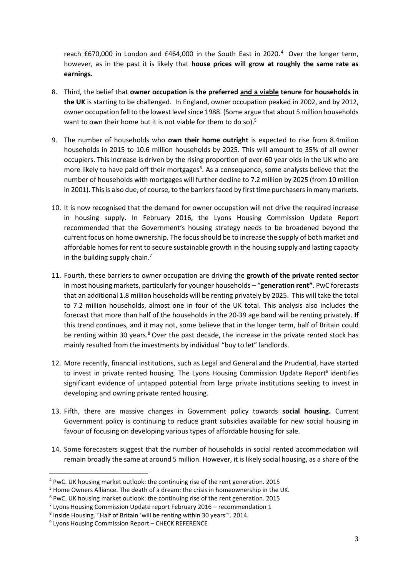reach £670,000 in London and £464,000 in the South East in 2020.<sup>4</sup> Over the longer term, however, as in the past it is likely that **house prices will grow at roughly the same rate as earnings.**

- 8. Third, the belief that **owner occupation is the preferred and a viable tenure for households in the UK** is starting to be challenged. In England, owner occupation peaked in 2002, and by 2012, owner occupation fell to the lowest level since 1988. (Some argue that about 5 million households want to own their home but it is not viable for them to do so).<sup>5</sup>
- 9. The number of households who **own their home outright** is expected to rise from 8.4milion households in 2015 to 10.6 million households by 2025. This will amount to 35% of all owner occupiers. This increase is driven by the rising proportion of over-60 year olds in the UK who are more likely to have paid off their mortgages<sup>6</sup>. As a consequence, some analysts believe that the number of households with mortgages will further decline to 7.2 million by 2025 (from 10 million in 2001). This is also due, of course, to the barriers faced by first time purchasers in many markets.
- 10. It is now recognised that the demand for owner occupation will not drive the required increase in housing supply. In February 2016, the Lyons Housing Commission Update Report recommended that the Government's housing strategy needs to be broadened beyond the current focus on home ownership. The focus should be to increase the supply of both market and affordable homes for rent to secure sustainable growth in the housing supply and lasting capacity in the building supply chain.<sup>7</sup>
- 11. Fourth, these barriers to owner occupation are driving the **growth of the private rented sector** in most housing markets, particularly for younger households – "**generation rent"**. PwC forecasts that an additional 1.8 million households will be renting privately by 2025. This will take the total to 7.2 million households, almost one in four of the UK total. This analysis also includes the forecast that more than half of the households in the 20-39 age band will be renting privately. **If** this trend continues, and it may not, some believe that in the longer term, half of Britain could be renting within 30 years.<sup>8</sup> Over the past decade, the increase in the private rented stock has mainly resulted from the investments by individual "buy to let" landlords.
- 12. More recently, financial institutions, such as Legal and General and the Prudential, have started to invest in private rented housing. The Lyons Housing Commission Update Report<sup>9</sup> identifies significant evidence of untapped potential from large private institutions seeking to invest in developing and owning private rented housing.
- 13. Fifth, there are massive changes in Government policy towards **social housing.** Current Government policy is continuing to reduce grant subsidies available for new social housing in favour of focusing on developing various types of affordable housing for sale.
- 14. Some forecasters suggest that the number of households in social rented accommodation will remain broadly the same at around 5 million. However, it is likely social housing, as a share of the

<sup>4</sup> PwC. UK housing market outlook: the continuing rise of the rent generation. 2015

<sup>&</sup>lt;sup>5</sup> Home Owners Alliance. The death of a dream: the crisis in homeownership in the UK.

<sup>6</sup> PwC. UK housing market outlook: the continuing rise of the rent generation. 2015

 $7$  Lyons Housing Commission Update report February 2016 – recommendation 1

<sup>8</sup> Inside Housing. "Half of Britain 'will be renting within 30 years'". 2014.

<sup>&</sup>lt;sup>9</sup> Lyons Housing Commission Report - CHECK REFERENCE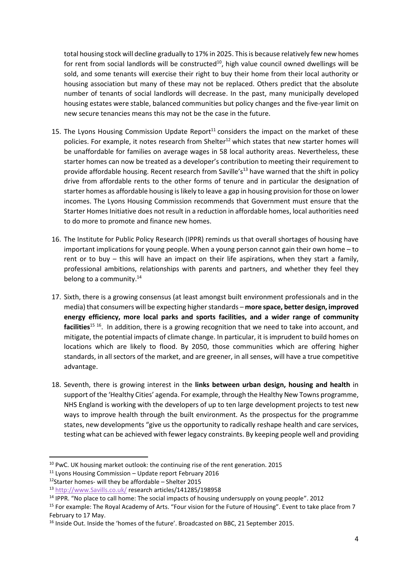total housing stock will decline gradually to 17% in 2025. This is because relatively few new homes for rent from social landlords will be constructed<sup>10</sup>, high value council owned dwellings will be sold, and some tenants will exercise their right to buy their home from their local authority or housing association but many of these may not be replaced. Others predict that the absolute number of tenants of social landlords will decrease. In the past, many municipally developed housing estates were stable, balanced communities but policy changes and the five-year limit on new secure tenancies means this may not be the case in the future.

- 15. The Lyons Housing Commission Update Report<sup>11</sup> considers the impact on the market of these policies. For example, it notes research from Shelter<sup>12</sup> which states that new starter homes will be unaffordable for families on average wages in 58 local authority areas. Nevertheless, these starter homes can now be treated as a developer's contribution to meeting their requirement to provide affordable housing. Recent research from Saville's<sup>13</sup> have warned that the shift in policy drive from affordable rents to the other forms of tenure and in particular the designation of starter homes as affordable housing islikely to leave a gap in housing provision for those on lower incomes. The Lyons Housing Commission recommends that Government must ensure that the Starter Homes Initiative does not result in a reduction in affordable homes, local authorities need to do more to promote and finance new homes.
- 16. The Institute for Public Policy Research (IPPR) reminds us that overall shortages of housing have important implications for young people. When a young person cannot gain their own home – to rent or to buy – this will have an impact on their life aspirations, when they start a family, professional ambitions, relationships with parents and partners, and whether they feel they belong to a community. $14$
- 17. Sixth, there is a growing consensus (at least amongst built environment professionals and in the media) that consumers will be expecting higher standards – **more space, better design, improved energy efficiency, more local parks and sports facilities, and a wider range of community**  facilities<sup>15 16</sup>. In addition, there is a growing recognition that we need to take into account, and mitigate, the potential impacts of climate change. In particular, it is imprudent to build homes on locations which are likely to flood. By 2050, those communities which are offering higher standards, in all sectors of the market, and are greener, in all senses, will have a true competitive advantage.
- 18. Seventh, there is growing interest in the **links between urban design, housing and health** in support of the 'Healthy Cities' agenda. For example, through the Healthy New Towns programme, NHS England is working with the developers of up to ten large development projects to test new ways to improve health through the built environment. As the prospectus for the programme states, new developments "give us the opportunity to radically reshape health and care services, testing what can be achieved with fewer legacy constraints. By keeping people well and providing

 $10$  PwC. UK housing market outlook: the continuing rise of the rent generation. 2015

 $11$  Lyons Housing Commission – Update report February 2016

<sup>&</sup>lt;sup>12</sup>Starter homes- will they be affordable – Shelter 2015

<sup>13</sup> [http://www.Savills.co.uk/](http://www.savills.co.uk/) research articles/141285/198958

<sup>&</sup>lt;sup>14</sup> IPPR. "No place to call home: The social impacts of housing undersupply on young people". 2012

<sup>&</sup>lt;sup>15</sup> For example: The Royal Academy of Arts. "Four vision for the Future of Housing". Event to take place from 7 February to 17 May.

<sup>&</sup>lt;sup>16</sup> Inside Out. Inside the 'homes of the future'. Broadcasted on BBC, 21 September 2015.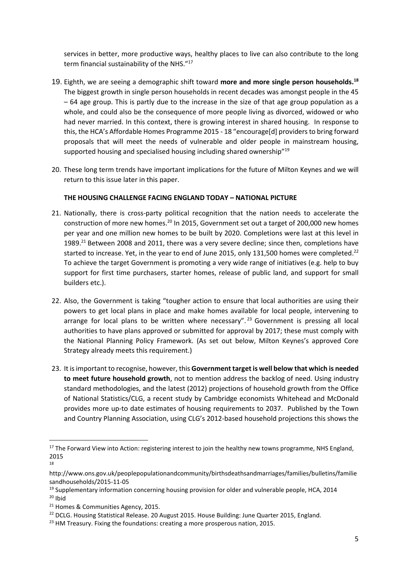services in better, more productive ways, healthy places to live can also contribute to the long term financial sustainability of the NHS."<sup>17</sup>

- 19. Eighth, we are seeing a demographic shift toward **more and more single person households.<sup>18</sup>** The biggest growth in single person households in recent decades was amongst people in the 45 – 64 age group. This is partly due to the increase in the size of that age group population as a whole, and could also be the consequence of more people living as divorced, widowed or who had never married. In this context, there is growing interest in shared housing. In response to this, the HCA's Affordable Homes Programme 2015 - 18 "encourage[d] providers to bring forward proposals that will meet the needs of vulnerable and older people in mainstream housing, supported housing and specialised housing including shared ownership"<sup>19</sup>
- 20. These long term trends have important implications for the future of Milton Keynes and we will return to this issue later in this paper.

#### **THE HOUSING CHALLENGE FACING ENGLAND TODAY – NATIONAL PICTURE**

- 21. Nationally, there is cross-party political recognition that the nation needs to accelerate the construction of more new homes.<sup>20</sup> In 2015, Government set out a target of 200,000 new homes per year and one million new homes to be built by 2020. Completions were last at this level in 1989.<sup>21</sup> Between 2008 and 2011, there was a very severe decline; since then, completions have started to increase. Yet, in the year to end of June 2015, only 131,500 homes were completed.<sup>22</sup> To achieve the target Government is promoting a very wide range of initiatives (e.g. help to buy support for first time purchasers, starter homes, release of public land, and support for small builders etc.).
- 22. Also, the Government is taking "tougher action to ensure that local authorities are using their powers to get local plans in place and make homes available for local people, intervening to arrange for local plans to be written where necessary".<sup>23</sup> Government is pressing all local authorities to have plans approved or submitted for approval by 2017; these must comply with the National Planning Policy Framework. (As set out below, Milton Keynes's approved Core Strategy already meets this requirement.)
- 23. It is important to recognise, however, this **Government target is well below that which is needed to meet future household growth**, not to mention address the backlog of need. Using industry standard methodologies, and the latest (2012) projections of household growth from the Office of National Statistics/CLG, a recent study by Cambridge economists Whitehead and McDonald provides more up-to date estimates of housing requirements to 2037. Published by the Town and Country Planning Association, using CLG's 2012-based household projections this shows the

<sup>&</sup>lt;sup>17</sup> The Forward View into Action: registering interest to join the healthy new towns programme, NHS England, 2015 18

http://www.ons.gov.uk/peoplepopulationandcommunity/birthsdeathsandmarriages/families/bulletins/familie sandhouseholds/2015-11-05

 $19$  Supplementary information concerning housing provision for older and vulnerable people, HCA, 2014  $20$  Ibid

<sup>&</sup>lt;sup>21</sup> Homes & Communities Agency, 2015.

<sup>&</sup>lt;sup>22</sup> DCLG. Housing Statistical Release. 20 August 2015. House Building: June Quarter 2015, England.

 $23$  HM Treasury. Fixing the foundations: creating a more prosperous nation, 2015.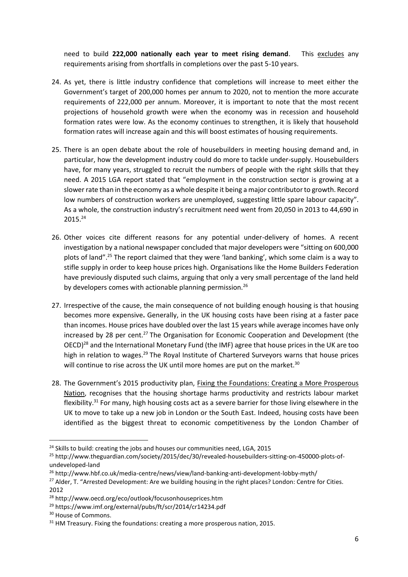need to build **222,000 nationally each year to meet rising demand**. This excludes any requirements arising from shortfalls in completions over the past 5-10 years.

- 24. As yet, there is little industry confidence that completions will increase to meet either the Government's target of 200,000 homes per annum to 2020, not to mention the more accurate requirements of 222,000 per annum. Moreover, it is important to note that the most recent projections of household growth were when the economy was in recession and household formation rates were low. As the economy continues to strengthen, it is likely that household formation rates will increase again and this will boost estimates of housing requirements.
- 25. There is an open debate about the role of housebuilders in meeting housing demand and, in particular, how the development industry could do more to tackle under-supply. Housebuilders have, for many years, struggled to recruit the numbers of people with the right skills that they need. A 2015 LGA report stated that "employment in the construction sector is growing at a slower rate than in the economy as a whole despite it being a major contributor to growth. Record low numbers of construction workers are unemployed, suggesting little spare labour capacity". As a whole, the construction industry's recruitment need went from 20,050 in 2013 to 44,690 in 2015.<sup>24</sup>
- 26. Other voices cite different reasons for any potential under-delivery of homes. A recent investigation by a national newspaper concluded that major developers were "sitting on 600,000 plots of land".<sup>25</sup> The report claimed that they were 'land banking', which some claim is a way to stifle supply in order to keep house prices high. Organisations like the Home Builders Federation have previously disputed such claims, arguing that only a very small percentage of the land held by developers comes with actionable planning permission.<sup>26</sup>
- 27. Irrespective of the cause, the main consequence of not building enough housing is that housing becomes more expensive**.** Generally, in the UK housing costs have been rising at a faster pace than incomes. House prices have doubled over the last 15 years while average incomes have only increased by 28 per cent.<sup>27</sup> The Organisation for Economic Cooperation and Development (the OECD)<sup>28</sup> and the International Monetary Fund (the IMF) agree that house prices in the UK are too high in relation to wages.<sup>29</sup> The Royal Institute of Chartered Surveyors warns that house prices will continue to rise across the UK until more homes are put on the market.<sup>30</sup>
- 28. The Government's 2015 productivity plan, Fixing the Foundations: Creating a More Prosperous Nation, recognises that the housing shortage harms productivity and restricts labour market flexibility.<sup>31</sup> For many, high housing costs act as a severe barrier for those living elsewhere in the UK to move to take up a new job in London or the South East. Indeed, housing costs have been identified as the biggest threat to economic competitiveness by the London Chamber of

 $24$  Skills to build: creating the jobs and houses our communities need, LGA, 2015

<sup>25</sup> http://www.theguardian.com/society/2015/dec/30/revealed-housebuilders-sitting-on-450000-plots-ofundeveloped-land

<sup>26</sup> http://www.hbf.co.uk/media-centre/news/view/land-banking-anti-development-lobby-myth/

<sup>&</sup>lt;sup>27</sup> Alder, T. "Arrested Development: Are we building housing in the right places? London: Centre for Cities. 2012

<sup>28</sup> http://www.oecd.org/eco/outlook/focusonhouseprices.htm

<sup>29</sup> https://www.imf.org/external/pubs/ft/scr/2014/cr14234.pdf

<sup>&</sup>lt;sup>30</sup> House of Commons.

 $31$  HM Treasury. Fixing the foundations: creating a more prosperous nation, 2015.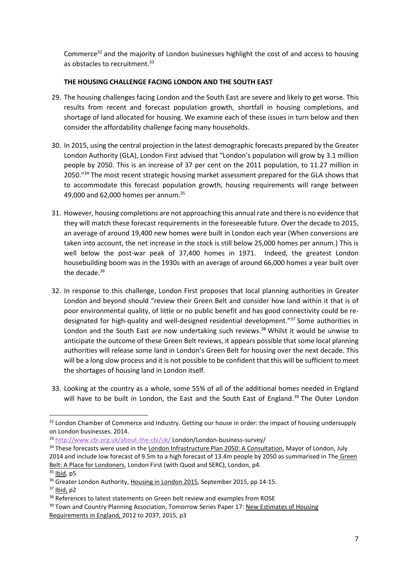Commerce<sup>32</sup> and the majority of London businesses highlight the cost of and access to housing as obstacles to recruitment.<sup>33</sup>

#### **THE HOUSING CHALLENGE FACING LONDON AND THE SOUTH EAST**

- 29. The housing challenges facing London and the South East are severe and likely to get worse. This results from recent and forecast population growth, shortfall in housing completions, and shortage of land allocated for housing. We examine each of these issues in turn below and then consider the affordability challenge facing many households.
- 30. In 2015, using the central projection in the latest demographic forecasts prepared by the Greater London Authority (GLA), London First advised that "London's population will grow by 3.1 million people by 2050. This is an increase of 37 per cent on the 2011 population, to 11.27 million in 2050."<sup>34</sup> The most recent strategic housing market assessment prepared for the GLA shows that to accommodate this forecast population growth, housing requirements will range between 49,000 and 62,000 homes per annum.<sup>35</sup>
- 31. However, housing completions are not approaching this annual rate and there is no evidence that they will match these forecast requirements in the foreseeable future. Over the decade to 2015, an average of around 19,400 new homes were built in London each year (When conversions are taken into account, the net increase in the stock is still below 25,000 homes per annum.) This is well below the post-war peak of 37,400 homes in 1971. Indeed, the greatest London housebuilding boom was in the 1930s with an average of around 66,000 homes a year built over the decade. $36$
- 32. In response to this challenge, London First proposes that local planning authorities in Greater London and beyond should "review their Green Belt and consider how land within it that is of poor environmental quality, of little or no public benefit and has good connectivity could be redesignated for high-quality and well-designed residential development." <sup>37</sup> Some authorities in London and the South East are now undertaking such reviews.<sup>38</sup> Whilst it would be unwise to anticipate the outcome of these Green Belt reviews, it appears possible that some local planning authorities will release some land in London's Green Belt for housing over the next decade. This will be a long slow process and it is not possible to be confident that this will be sufficient to meet the shortages of housing land in London itself.
- 33. Looking at the country as a whole, some 55% of all of the additional homes needed in England will have to be built in London, the East and the South East of England.<sup>39</sup> The Outer London

1

<sup>&</sup>lt;sup>32</sup> London Chamber of Commerce and Industry. Getting our house in order: the impact of housing undersupply on London businesses. 2014.

<sup>33</sup> <http://www.cbi.org.uk/about-the-cbi/uk/> London/London-business-survey/

<sup>&</sup>lt;sup>34</sup> These forecasts were used in the London Infrastructure Plan 2050: A Consultation, Mayor of London, July 2014 and include low forecast of 9.5m to a high forecast of 13.4m people by 2050 as summarised in The Green Belt: A Place for Londoners, London First (with Quod and SERC), London, p4.  $35$  lbid, p5

<sup>&</sup>lt;sup>36</sup> Greater London Authority, Housing in London 2015, September 2015, pp 14-15.

 $37$  Ibid, p2

<sup>&</sup>lt;sup>38</sup> References to latest statements on Green belt review and examples from ROSE

<sup>&</sup>lt;sup>39</sup> Town and Country Planning Association, Tomorrow Series Paper 17: New Estimates of Housing Requirements in England, 2012 to 2037, 2015, p3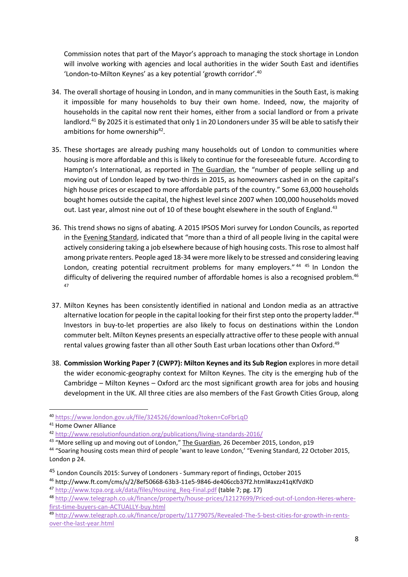Commission notes that part of the Mayor's approach to managing the stock shortage in London will involve working with agencies and local authorities in the wider South East and identifies 'London-to-Milton Keynes' as a key potential 'growth corridor'. 40

- 34. The overall shortage of housing in London, and in many communities in the South East, is making it impossible for many households to buy their own home. Indeed, now, the majority of households in the capital now rent their homes, either from a social landlord or from a private landlord.<sup>41</sup> By 2025 it is estimated that only 1 in 20 Londoners under 35 will be able to satisfy their ambitions for home ownership<sup>42</sup>.
- 35. These shortages are already pushing many households out of London to communities where housing is more affordable and this is likely to continue for the foreseeable future. According to Hampton's International, as reported in The Guardian, the "number of people selling up and moving out of London leaped by two-thirds in 2015, as homeowners cashed in on the capital's high house prices or escaped to more affordable parts of the country." Some 63,000 households bought homes outside the capital, the highest level since 2007 when 100,000 households moved out. Last year, almost nine out of 10 of these bought elsewhere in the south of England.<sup>43</sup>
- 36. This trend shows no signs of abating. A 2015 IPSOS Mori survey for London Councils, as reported in the Evening Standard, indicated that "more than a third of all people living in the capital were actively considering taking a job elsewhere because of high housing costs. This rose to almost half among private renters. People aged 18-34 were more likely to be stressed and considering leaving London, creating potential recruitment problems for many employers."<sup>44 45</sup> In London the difficulty of delivering the required number of affordable homes is also a recognised problem.<sup>46</sup> 47
- 37. Milton Keynes has been consistently identified in national and London media as an attractive alternative location for people in the capital looking for their first step onto the property ladder.<sup>48</sup> Investors in buy-to-let properties are also likely to focus on destinations within the London commuter belt. Milton Keynes presents an especially attractive offer to these people with annual rental values growing faster than all other South East urban locations other than Oxford.<sup>49</sup>
- 38. **Commission Working Paper 7 (CWP7): Milton Keynes and its Sub Region** explores in more detail the wider economic-geography context for Milton Keynes. The city is the emerging hub of the Cambridge – Milton Keynes – Oxford arc the most significant growth area for jobs and housing development in the UK. All three cities are also members of the Fast Growth Cities Group, along

1

<sup>40</sup> <https://www.london.gov.uk/file/324526/download?token=CoFbrLqD>

<sup>41</sup> Home Owner Alliance

<sup>42</sup> <http://www.resolutionfoundation.org/publications/living-standards-2016/>

<sup>&</sup>lt;sup>43</sup> "More selling up and moving out of London," The Guardian, 26 December 2015, London, p19

<sup>44</sup> "Soaring housing costs mean third of people 'want to leave London,' "Evening Standard, 22 October 2015, London p 24.

<sup>45</sup> London Councils 2015: Survey of Londoners - Summary report of findings, October 2015

<sup>46</sup> http://www.ft.com/cms/s/2/8ef50668-63b3-11e5-9846-de406ccb37f2.html#axzz41qKfVdKD 47 [http://www.tcpa.org.uk/data/files/Housing\\_Req-Final.pdf](http://www.tcpa.org.uk/data/files/Housing_Req-Final.pdf) (table 7; pg. 17)

<sup>48</sup> [http://www.telegraph.co.uk/finance/property/house-prices/12127699/Priced-out-of-London-Heres-where](http://www.telegraph.co.uk/finance/property/house-prices/12127699/Priced-out-of-London-Heres-where-first-time-buyers-can-ACTUALLY-buy.html)[first-time-buyers-can-ACTUALLY-buy.html](http://www.telegraph.co.uk/finance/property/house-prices/12127699/Priced-out-of-London-Heres-where-first-time-buyers-can-ACTUALLY-buy.html)

<sup>49</sup> [http://www.telegraph.co.uk/finance/property/11779075/Revealed-The-5-best-cities-for-growth-in-rents](http://www.telegraph.co.uk/finance/property/11779075/Revealed-The-5-best-cities-for-growth-in-rents-over-the-last-year.html)[over-the-last-year.html](http://www.telegraph.co.uk/finance/property/11779075/Revealed-The-5-best-cities-for-growth-in-rents-over-the-last-year.html)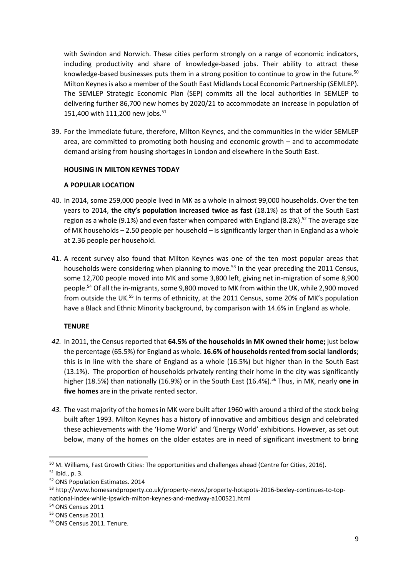with Swindon and Norwich. These cities perform strongly on a range of economic indicators, including productivity and share of knowledge-based jobs. Their ability to attract these knowledge-based businesses puts them in a strong position to continue to grow in the future.<sup>50</sup> Milton Keynes is also a member of the South East Midlands Local Economic Partnership (SEMLEP). The SEMLEP Strategic Economic Plan (SEP) commits all the local authorities in SEMLEP to delivering further 86,700 new homes by 2020/21 to accommodate an increase in population of 151,400 with 111,200 new jobs.<sup>51</sup>

39. For the immediate future, therefore, Milton Keynes, and the communities in the wider SEMLEP area, are committed to promoting both housing and economic growth – and to accommodate demand arising from housing shortages in London and elsewhere in the South East.

#### **HOUSING IN MILTON KEYNES TODAY**

#### **A POPULAR LOCATION**

- 40. In 2014, some 259,000 people lived in MK as a whole in almost 99,000 households. Over the ten years to 2014, **the city's population increased twice as fast** (18.1%) as that of the South East region as a whole (9.1%) and even faster when compared with England (8.2%).<sup>52</sup> The average size of MK households – 2.50 people per household – is significantly larger than in England as a whole at 2.36 people per household.
- 41. A recent survey also found that Milton Keynes was one of the ten most popular areas that households were considering when planning to move.<sup>53</sup> In the year preceding the 2011 Census, some 12,700 people moved into MK and some 3,800 left, giving net in-migration of some 8,900 people.<sup>54</sup> Of all the in-migrants, some 9,800 moved to MK from within the UK, while 2,900 moved from outside the UK.<sup>55</sup> In terms of ethnicity, at the 2011 Census, some 20% of MK's population have a Black and Ethnic Minority background, by comparison with 14.6% in England as whole.

#### **TENURE**

- *42.* In 2011, the Census reported that **64.5% of the households in MK owned their home;** just below the percentage (65.5%) for England as whole. **16.6% of households rented from social landlords**; this is in line with the share of England as a whole (16.5%) but higher than in the South East (13.1%). The proportion of households privately renting their home in the city was significantly higher (18.5%) than nationally (16.9%) or in the South East (16.4%). <sup>56</sup> Thus, in MK, nearly **one in five homes** are in the private rented sector.
- *43.* The vast majority of the homes in MK were built after 1960 with around a third of the stock being built after 1993. Milton Keynes has a history of innovative and ambitious design and celebrated these achievements with the 'Home World' and 'Energy World' exhibitions. However, as set out below, many of the homes on the older estates are in need of significant investment to bring

<sup>50</sup> M. Williams, Fast Growth Cities: The opportunities and challenges ahead (Centre for Cities, 2016).

 $51$  Ibid., p. 3.

<sup>52</sup> ONS Population Estimates. 2014

<sup>53</sup> http://www.homesandproperty.co.uk/property-news/property-hotspots-2016-bexley-continues-to-topnational-index-while-ipswich-milton-keynes-and-medway-a100521.html

<sup>54</sup> ONS Census 2011

<sup>55</sup> ONS Census 2011

<sup>56</sup> ONS Census 2011. Tenure.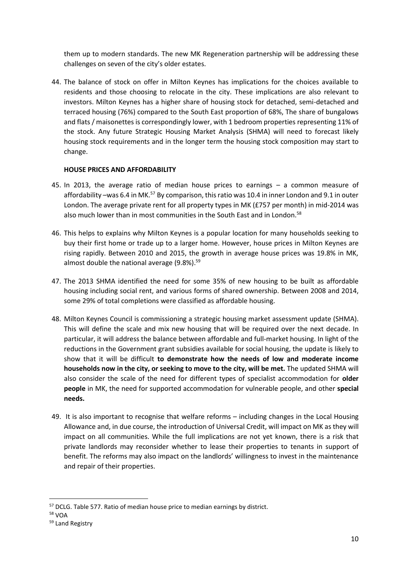them up to modern standards. The new MK Regeneration partnership will be addressing these challenges on seven of the city's older estates.

44. The balance of stock on offer in Milton Keynes has implications for the choices available to residents and those choosing to relocate in the city. These implications are also relevant to investors. Milton Keynes has a higher share of housing stock for detached, semi-detached and terraced housing (76%) compared to the South East proportion of 68%, The share of bungalows and flats / maisonettes is correspondingly lower, with 1 bedroom properties representing 11% of the stock. Any future Strategic Housing Market Analysis (SHMA) will need to forecast likely housing stock requirements and in the longer term the housing stock composition may start to change.

#### **HOUSE PRICES AND AFFORDABILITY**

- 45. In 2013, the average ratio of median house prices to earnings a common measure of affordability –was 6.4 in MK.<sup>57</sup> By comparison, this ratio was 10.4 in inner London and 9.1 in outer London. The average private rent for all property types in MK (£757 per month) in mid-2014 was also much lower than in most communities in the South East and in London.<sup>58</sup>
- 46. This helps to explains why Milton Keynes is a popular location for many households seeking to buy their first home or trade up to a larger home. However, house prices in Milton Keynes are rising rapidly. Between 2010 and 2015, the growth in average house prices was 19.8% in MK, almost double the national average (9.8%).<sup>59</sup>
- 47. The 2013 SHMA identified the need for some 35% of new housing to be built as affordable housing including social rent, and various forms of shared ownership. Between 2008 and 2014, some 29% of total completions were classified as affordable housing.
- 48. Milton Keynes Council is commissioning a strategic housing market assessment update (SHMA). This will define the scale and mix new housing that will be required over the next decade. In particular, it will address the balance between affordable and full-market housing. In light of the reductions in the Government grant subsidies available for social housing, the update is likely to show that it will be difficult **to demonstrate how the needs of low and moderate income households now in the city, or seeking to move to the city, will be met.** The updated SHMA will also consider the scale of the need for different types of specialist accommodation for **older people** in MK, the need for supported accommodation for vulnerable people, and other **special needs.**
- 49. It is also important to recognise that welfare reforms including changes in the Local Housing Allowance and, in due course, the introduction of Universal Credit, will impact on MK as they will impact on all communities. While the full implications are not yet known, there is a risk that private landlords may reconsider whether to lease their properties to tenants in support of benefit. The reforms may also impact on the landlords' willingness to invest in the maintenance and repair of their properties.

<sup>&</sup>lt;sup>57</sup> DCLG. Table 577. Ratio of median house price to median earnings by district.

<sup>58</sup> VOA

<sup>59</sup> Land Registry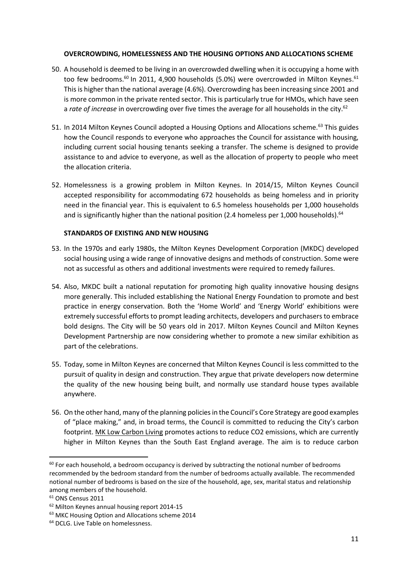#### **OVERCROWDING, HOMELESSNESS AND THE HOUSING OPTIONS AND ALLOCATIONS SCHEME**

- 50. A household is deemed to be living in an overcrowded dwelling when it is occupying a home with too few bedrooms.<sup>60</sup> In 2011, 4,900 households (5.0%) were overcrowded in Milton Keynes.<sup>61</sup> This is higher than the national average (4.6%). Overcrowding has been increasing since 2001 and is more common in the private rented sector. This is particularly true for HMOs, which have seen a *rate of increase* in overcrowding over five times the average for all households in the city.<sup>62</sup>
- 51. In 2014 Milton Keynes Council adopted a Housing Options and Allocations scheme.<sup>63</sup> This guides how the Council responds to everyone who approaches the Council for assistance with housing, including current social housing tenants seeking a transfer. The scheme is designed to provide assistance to and advice to everyone, as well as the allocation of property to people who meet the allocation criteria.
- 52. Homelessness is a growing problem in Milton Keynes. In 2014/15, Milton Keynes Council accepted responsibility for accommodating 672 households as being homeless and in priority need in the financial year. This is equivalent to 6.5 homeless households per 1,000 households and is significantly higher than the national position (2.4 homeless per 1,000 households).  $64$

#### **STANDARDS OF EXISTING AND NEW HOUSING**

- 53. In the 1970s and early 1980s, the Milton Keynes Development Corporation (MKDC) developed social housing using a wide range of innovative designs and methods of construction. Some were not as successful as others and additional investments were required to remedy failures.
- 54. Also, MKDC built a national reputation for promoting high quality innovative housing designs more generally. This included establishing the National Energy Foundation to promote and best practice in energy conservation. Both the 'Home World' and 'Energy World' exhibitions were extremely successful efforts to prompt leading architects, developers and purchasers to embrace bold designs. The City will be 50 years old in 2017. Milton Keynes Council and Milton Keynes Development Partnership are now considering whether to promote a new similar exhibition as part of the celebrations.
- 55. Today, some in Milton Keynes are concerned that Milton Keynes Council is less committed to the pursuit of quality in design and construction. They argue that private developers now determine the quality of the new housing being built, and normally use standard house types available anywhere.
- 56. On the other hand, many of the planning policies in the Council's Core Strategy are good examples of "place making," and, in broad terms, the Council is committed to reducing the City's carbon footprint. MK Low Carbon Living promotes actions to reduce CO2 emissions, which are currently higher in Milton Keynes than the South East England average. The aim is to reduce carbon

 $60$  For each household, a bedroom occupancy is derived by subtracting the notional number of bedrooms recommended by the bedroom standard from the number of bedrooms actually available. The recommended notional number of bedrooms is based on the size of the household, age, sex, marital status and relationship among members of the household.

<sup>&</sup>lt;sup>61</sup> ONS Census 2011

<sup>62</sup> Milton Keynes annual housing report 2014-15

<sup>63</sup> MKC Housing Option and Allocations scheme 2014

<sup>&</sup>lt;sup>64</sup> DCLG. Live Table on homelessness.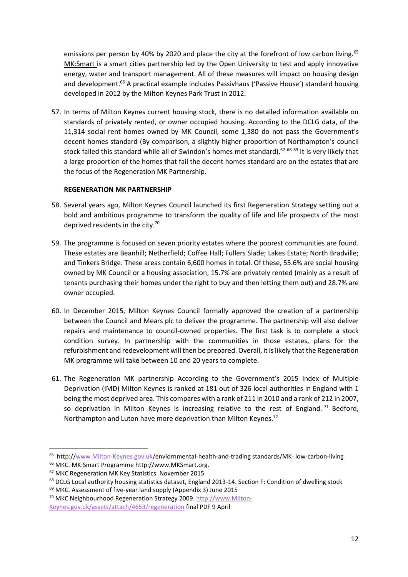emissions per person by 40% by 2020 and place the city at the forefront of low carbon living.<sup>65</sup> MK:Smart is a smart cities partnership led by the Open University to test and apply innovative energy, water and transport management. All of these measures will impact on housing design and development.<sup>66</sup> A practical example includes Passivhaus ('Passive House') standard housing developed in 2012 by the Milton Keynes Park Trust in 2012.

57. In terms of Milton Keynes current housing stock, there is no detailed information available on standards of privately rented, or owner occupied housing. According to the DCLG data, of the 11,314 social rent homes owned by MK Council, some 1,380 do not pass the Government's decent homes standard (By comparison, a slightly higher proportion of Northampton's council stock failed this standard while all of Swindon's homes met standard).<sup>67 68 69</sup> It is very likely that a large proportion of the homes that fail the decent homes standard are on the estates that are the focus of the Regeneration MK Partnership.

#### **REGENERATION MK PARTNERSHIP**

- 58. Several years ago, Milton Keynes Council launched its first Regeneration Strategy setting out a bold and ambitious programme to transform the quality of life and life prospects of the most deprived residents in the city.<sup>70</sup>
- 59. The programme is focused on seven priority estates where the poorest communities are found. These estates are Beanhill; Netherfield; Coffee Hall; Fullers Slade; Lakes Estate; North Bradville; and Tinkers Bridge. These areas contain 6,600 homes in total. Of these, 55.6% are social housing owned by MK Council or a housing association, 15.7% are privately rented (mainly as a result of tenants purchasing their homes under the right to buy and then letting them out) and 28.7% are owner occupied.
- 60. In December 2015, Milton Keynes Council formally approved the creation of a partnership between the Council and Mears plc to deliver the programme. The partnership will also deliver repairs and maintenance to council-owned properties. The first task is to complete a stock condition survey. In partnership with the communities in those estates, plans for the refurbishment and redevelopment will then be prepared. Overall, it is likely that the Regeneration MK programme will take between 10 and 20 years to complete.
- 61. The Regeneration MK partnership According to the Government's 2015 Index of Multiple Deprivation (IMD) Milton Keynes is ranked at 181 out of 326 local authorities in England with 1 being the most deprived area. This compares with a rank of 211 in 2010 and a rank of 212 in 2007, so deprivation in Milton Keynes is increasing relative to the rest of England.<sup>71</sup> Bedford, Northampton and Luton have more deprivation than Milton Keynes.<sup>72</sup>

<sup>&</sup>lt;sup>65</sup> http:/[/www.Milton-Keynes.gov.uk/](http://www.milton-keynes.gov.uk/)enviornmental-health-and-trading standards/MK- low-carbon-living <sup>66</sup> MKC. MK:Smart Programme http://www.MKSmart.org.

<sup>67</sup> MKC Regeneration MK Key Statistics. November 2015

<sup>&</sup>lt;sup>68</sup> DCLG Local authority housing statistics dataset, England 2013-14. Section F: Condition of dwelling stock

<sup>69</sup> MKC. Assessment of five-year land supply (Appendix 3) June 2015

<sup>70</sup> MKC Neighbourhood Regeneration Strategy 2009[. http://www.Milton-](http://www.milton-keynes.gov.uk/assets/attach/4653/regeneration)[Keynes.gov.uk/assets/attach/4653/regeneration](http://www.milton-keynes.gov.uk/assets/attach/4653/regeneration) final PDF 9 April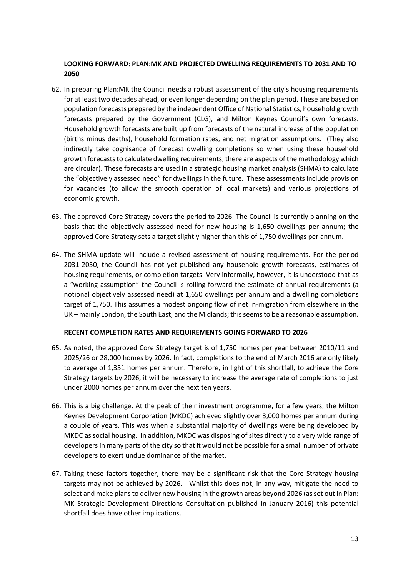#### **LOOKING FORWARD: PLAN:MK AND PROJECTED DWELLING REQUIREMENTS TO 2031 AND TO 2050**

- 62. In preparing Plan:MK the Council needs a robust assessment of the city's housing requirements for at least two decades ahead, or even longer depending on the plan period. These are based on population forecasts prepared by the independent Office of National Statistics, household growth forecasts prepared by the Government (CLG), and Milton Keynes Council's own forecasts. Household growth forecasts are built up from forecasts of the natural increase of the population (births minus deaths), household formation rates, and net migration assumptions. (They also indirectly take cognisance of forecast dwelling completions so when using these household growth forecasts to calculate dwelling requirements, there are aspects of the methodology which are circular). These forecasts are used in a strategic housing market analysis (SHMA) to calculate the "objectively assessed need" for dwellings in the future. These assessments include provision for vacancies (to allow the smooth operation of local markets) and various projections of economic growth.
- 63. The approved Core Strategy covers the period to 2026. The Council is currently planning on the basis that the objectively assessed need for new housing is 1,650 dwellings per annum; the approved Core Strategy sets a target slightly higher than this of 1,750 dwellings per annum.
- 64. The SHMA update will include a revised assessment of housing requirements. For the period 2031-2050, the Council has not yet published any household growth forecasts, estimates of housing requirements, or completion targets. Very informally, however, it is understood that as a "working assumption" the Council is rolling forward the estimate of annual requirements (a notional objectively assessed need) at 1,650 dwellings per annum and a dwelling completions target of 1,750. This assumes a modest ongoing flow of net in-migration from elsewhere in the UK – mainly London, the South East, and the Midlands; this seems to be a reasonable assumption.

#### **RECENT COMPLETION RATES AND REQUIREMENTS GOING FORWARD TO 2026**

- 65. As noted, the approved Core Strategy target is of 1,750 homes per year between 2010/11 and 2025/26 or 28,000 homes by 2026. In fact, completions to the end of March 2016 are only likely to average of 1,351 homes per annum. Therefore, in light of this shortfall, to achieve the Core Strategy targets by 2026, it will be necessary to increase the average rate of completions to just under 2000 homes per annum over the next ten years.
- 66. This is a big challenge. At the peak of their investment programme, for a few years, the Milton Keynes Development Corporation (MKDC) achieved slightly over 3,000 homes per annum during a couple of years. This was when a substantial majority of dwellings were being developed by MKDC as social housing. In addition, MKDC was disposing of sites directly to a very wide range of developers in many parts of the city so that it would not be possible for a small number of private developers to exert undue dominance of the market.
- 67. Taking these factors together, there may be a significant risk that the Core Strategy housing targets may not be achieved by 2026. Whilst this does not, in any way, mitigate the need to select and make plans to deliver new housing in the growth areas beyond 2026 (as set out in Plan: MK Strategic Development Directions Consultation published in January 2016) this potential shortfall does have other implications.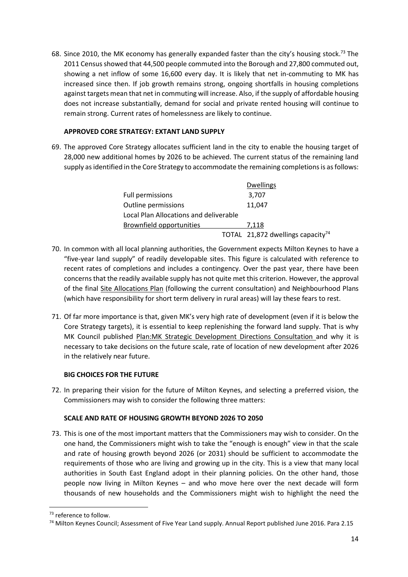68. Since 2010, the MK economy has generally expanded faster than the city's housing stock.<sup>73</sup> The 2011 Census showed that 44,500 people commuted into the Borough and 27,800 commuted out, showing a net inflow of some 16,600 every day. It is likely that net in-commuting to MK has increased since then. If job growth remains strong, ongoing shortfalls in housing completions against targets mean that net in commuting will increase. Also, if the supply of affordable housing does not increase substantially, demand for social and private rented housing will continue to remain strong. Current rates of homelessness are likely to continue.

#### **APPROVED CORE STRATEGY: EXTANT LAND SUPPLY**

69. The approved Core Strategy allocates sufficient land in the city to enable the housing target of 28,000 new additional homes by 2026 to be achieved. The current status of the remaining land supply as identified in the Core Strategy to accommodate the remaining completions is as follows:

|                                        | <b>Dwellings</b>                              |
|----------------------------------------|-----------------------------------------------|
| <b>Full permissions</b>                | 3,707                                         |
| Outline permissions                    | 11.047                                        |
| Local Plan Allocations and deliverable |                                               |
| Brownfield opportunities               | 7.118                                         |
|                                        | TOTAL 21,872 dwellings capacity <sup>74</sup> |

- 70. In common with all local planning authorities, the Government expects Milton Keynes to have a "five-year land supply" of readily developable sites. This figure is calculated with reference to recent rates of completions and includes a contingency. Over the past year, there have been concerns that the readily available supply has not quite met this criterion. However, the approval of the final Site Allocations Plan (following the current consultation) and Neighbourhood Plans (which have responsibility for short term delivery in rural areas) will lay these fears to rest.
- 71. Of far more importance is that, given MK's very high rate of development (even if it is below the Core Strategy targets), it is essential to keep replenishing the forward land supply. That is why MK Council published Plan:MK Strategic Development Directions Consultation and why it is necessary to take decisions on the future scale, rate of location of new development after 2026 in the relatively near future.

#### **BIG CHOICES FOR THE FUTURE**

72. In preparing their vision for the future of Milton Keynes, and selecting a preferred vision, the Commissioners may wish to consider the following three matters:

#### **SCALE AND RATE OF HOUSING GROWTH BEYOND 2026 TO 2050**

73. This is one of the most important matters that the Commissioners may wish to consider. On the one hand, the Commissioners might wish to take the "enough is enough" view in that the scale and rate of housing growth beyond 2026 (or 2031) should be sufficient to accommodate the requirements of those who are living and growing up in the city. This is a view that many local authorities in South East England adopt in their planning policies. On the other hand, those people now living in Milton Keynes – and who move here over the next decade will form thousands of new households and the Commissioners might wish to highlight the need the

**<sup>.</sup>** <sup>73</sup> reference to follow.

<sup>74</sup> Milton Keynes Council; Assessment of Five Year Land supply. Annual Report published June 2016. Para 2.15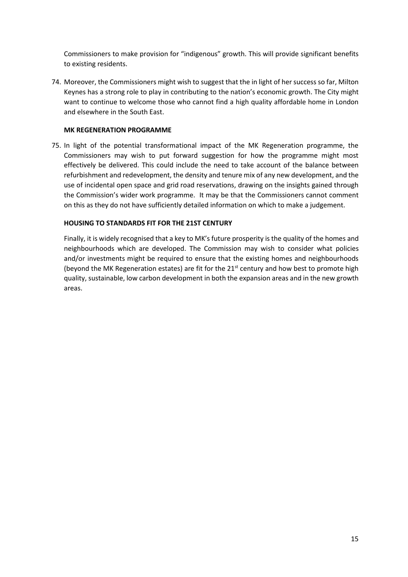Commissioners to make provision for "indigenous" growth. This will provide significant benefits to existing residents.

74. Moreover, the Commissioners might wish to suggest that the in light of her success so far, Milton Keynes has a strong role to play in contributing to the nation's economic growth. The City might want to continue to welcome those who cannot find a high quality affordable home in London and elsewhere in the South East.

#### **MK REGENERATION PROGRAMME**

75. In light of the potential transformational impact of the MK Regeneration programme, the Commissioners may wish to put forward suggestion for how the programme might most effectively be delivered. This could include the need to take account of the balance between refurbishment and redevelopment, the density and tenure mix of any new development, and the use of incidental open space and grid road reservations, drawing on the insights gained through the Commission's wider work programme. It may be that the Commissioners cannot comment on this as they do not have sufficiently detailed information on which to make a judgement.

#### **HOUSING TO STANDARDS FIT FOR THE 21ST CENTURY**

Finally, it is widely recognised that a key to MK's future prosperity is the quality of the homes and neighbourhoods which are developed. The Commission may wish to consider what policies and/or investments might be required to ensure that the existing homes and neighbourhoods (beyond the MK Regeneration estates) are fit for the 21 $st$  century and how best to promote high quality, sustainable, low carbon development in both the expansion areas and in the new growth areas.